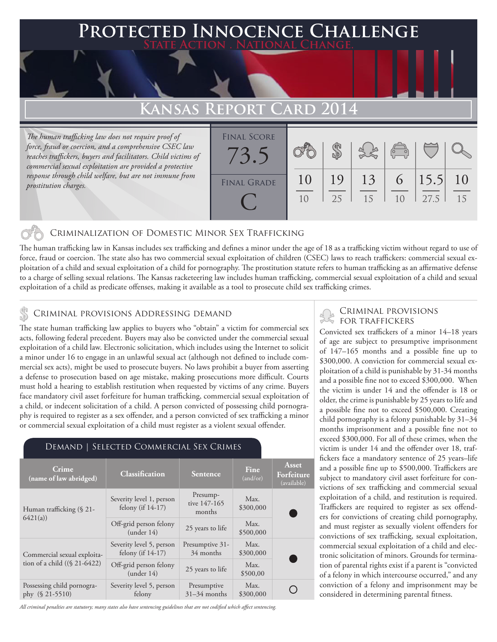### **PTED INNOCENCE CHALLENGE State Action . National Change.**

## Kansas Report Card

*The human trafficking law does not require proof of force, fraud or coercion, and a comprehensive CSEC law reaches traffickers, buyers and facilitators. Child victims of commercial sexual exploitation are provided a protective response through child welfare, but are not immune from prostitution charges.*

| <b>FINAL SCORE</b><br>$\sim$ $\sim$ |    |    |    | $\begin{pmatrix} 0 & 0 \\ 0 & 0 \end{pmatrix}$ |      |    |
|-------------------------------------|----|----|----|------------------------------------------------|------|----|
| <b>FINAL GRADE</b>                  | 10 | 19 | 13 | 6                                              | 15.5 | 10 |
|                                     | 10 | 25 | 15 | 1 <sub>0</sub>                                 | 27.5 | 15 |

#### Criminalization of Domestic Minor Sex Trafficking

The human trafficking law in Kansas includes sex trafficking and defines a minor under the age of 18 as a trafficking victim without regard to use of force, fraud or coercion. The state also has two commercial sexual exploitation of children (CSEC) laws to reach traffickers: commercial sexual exploitation of a child and sexual exploitation of a child for pornography. The prostitution statute refers to human trafficking as an affirmative defense to a charge of selling sexual relations. The Kansas racketeering law includes human trafficking, commercial sexual exploitation of a child and sexual exploitation of a child as predicate offenses, making it available as a tool to prosecute child sex trafficking crimes.

#### Criminal provisions Addressing demand

The state human trafficking law applies to buyers who "obtain" a victim for commercial sex acts, following federal precedent. Buyers may also be convicted under the commercial sexual exploitation of a child law. Electronic solicitation, which includes using the Internet to solicit a minor under 16 to engage in an unlawful sexual act (although not defined to include commercial sex acts), might be used to prosecute buyers. No laws prohibit a buyer from asserting a defense to prosecution based on age mistake, making prosecutions more difficult. Courts must hold a hearing to establish restitution when requested by victims of any crime. Buyers face mandatory civil asset forfeiture for human trafficking, commercial sexual exploitation of a child, or indecent solicitation of a child. A person convicted of possessing child pornography is required to register as a sex offender, and a person convicted of sex trafficking a minor or commercial sexual exploitation of a child must register as a violent sexual offender.

#### Demand | Selected Commercial Sex Crimes

| Crime.<br>(name of law abridged)                               | <b>Classification</b>                            | <b>Sentence</b>                    | <b>Fine</b><br>(and/or) | Asset<br>Forfeiture<br>(available) |  |
|----------------------------------------------------------------|--------------------------------------------------|------------------------------------|-------------------------|------------------------------------|--|
| Human trafficking (§ 21-<br>6421(a)                            | Severity level 1, person<br>felony (if $14-17$ ) | Presump-<br>tive 147-165<br>months | Max.<br>\$300,000       |                                    |  |
|                                                                | Off-grid person felony<br>(under 14)             | 25 years to life                   | Max.<br>\$500,000       |                                    |  |
| Commercial sexual exploita-<br>tion of a child $((\S 21-6422)$ | Severity level 5, person<br>felony (if $14-17$ ) | Presumptive 31-<br>34 months       | Max.<br>\$300,000       |                                    |  |
|                                                                | Off-grid person felony<br>(under 14)             | 25 years to life                   | Max.<br>\$500,00        |                                    |  |
| Possessing child pornogra-<br>phy $(S 21-5510)$                | Severity level 5, person<br>felony               | Presumptive<br>$31-34$ months      | Max.<br>\$300,000       |                                    |  |

*All criminal penalties are statutory; many states also have sentencing guidelines that are not codified which affect sentencing.* 

# CRIMINAL PROVISIONS

Convicted sex traffickers of a minor 14–18 years of age are subject to presumptive imprisonment of 147–165 months and a possible fine up to \$300,000. A conviction for commercial sexual exploitation of a child is punishable by 31-34 months and a possible fine not to exceed \$300,000. When the victim is under 14 and the offender is 18 or older, the crime is punishable by 25 years to life and a possible fine not to exceed \$500,000. Creating child pornography is a felony punishable by 31–34 months imprisonment and a possible fine not to exceed \$300,000. For all of these crimes, when the victim is under 14 and the offender over 18, traffickers face a mandatory sentence of 25 years–life and a possible fine up to \$500,000. Traffickers are subject to mandatory civil asset forfeiture for convictions of sex trafficking and commercial sexual exploitation of a child, and restitution is required. Traffickers are required to register as sex offenders for convictions of creating child pornography, and must register as sexually violent offenders for convictions of sex trafficking, sexual exploitation, commercial sexual exploitation of a child and electronic solicitation of minors. Grounds for termination of parental rights exist if a parent is "convicted of a felony in which intercourse occurred," and any conviction of a felony and imprisonment may be considered in determining parental fitness.